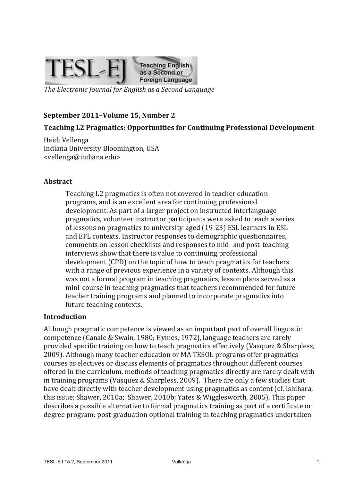

*The Electronic Journal for English as a Second Language* 

#### September 2011-Volume 15, Number 2

#### **Teaching L2 Pragmatics: Opportunities for Continuing Professional Development**

Heidi Vellenga Indiana University Bloomington, USA <vellenga@indiana.edu>

#### **Abstract**

Teaching L2 pragmatics is often not covered in teacher education programs, and is an excellent area for continuing professional development. As part of a larger project on instructed interlanguage pragmatics, volunteer instructor participants were asked to teach a series of lessons on pragmatics to university-aged (19-23) ESL learners in ESL and EFL contexts. Instructor responses to demographic questionnaires, comments on lesson checklists and responses to mid- and post-teaching interviews show that there is value to continuing professional development (CPD) on the topic of how to teach pragmatics for teachers with a range of previous experience in a variety of contexts. Although this was not a formal program in teaching pragmatics, lesson plans served as a mini-course in teaching pragmatics that teachers recommended for future teacher training programs and planned to incorporate pragmatics into future teaching contexts.

#### **Introduction**

Although pragmatic competence is viewed as an important part of overall linguistic competence (Canale & Swain, 1980; Hymes, 1972), language teachers are rarely provided specific training on how to teach pragmatics effectively (Vasquez & Sharpless, 2009). Although many teacher education or MA TESOL programs offer pragmatics courses as electives or discuss elements of pragmatics throughout different courses offered in the curriculum, methods of teaching pragmatics directly are rarely dealt with in training programs (Vasquez & Sharpless, 2009). There are only a few studies that have dealt directly with teacher development using pragmatics as content (cf. Ishihara, this issue; Shawer, 2010a; Shawer, 2010b; Yates & Wigglesworth, 2005). This paper describes a possible alternative to formal pragmatics training as part of a certificate or degree program: post-graduation optional training in teaching pragmatics undertaken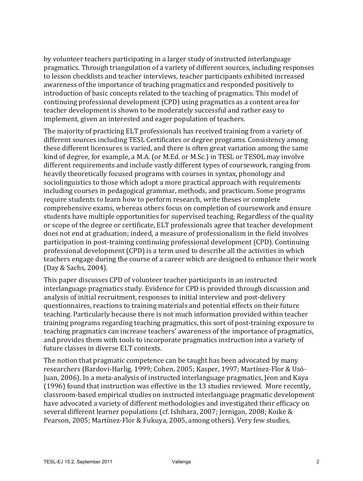by volunteer teachers participating in a larger study of instructed interlanguage pragmatics. Through triangulation of a variety of different sources, including responses to lesson checklists and teacher interviews, teacher participants exhibited increased awareness of the importance of teaching pragmatics and responded positively to introduction of basic concepts related to the teaching of pragmatics. This model of continuing professional development (CPD) using pragmatics as a content area for teacher development is shown to be moderately successful and rather easy to implement, given an interested and eager population of teachers.

The majority of practicing ELT professionals has received training from a variety of different sources including TESL Certificates or degree programs. Consistency among these different licensures is varied, and there is often great variation among the same kind of degree, for example, a M.A. (or M.Ed. or M.Sc.) in TESL or TESOL may involve different requirements and include vastly different types of coursework, ranging from heavily theoretically focused programs with courses in syntax, phonology and sociolinguistics to those which adopt a more practical approach with requirements including courses in pedagogical grammar, methods, and practicum. Some programs require students to learn how to perform research, write theses or complete comprehensive exams, whereas others focus on completion of coursework and ensure students have multiple opportunities for supervised teaching. Regardless of the quality or scope of the degree or certificate, ELT professionals agree that teacher development does not end at graduation; indeed, a measure of professionalism in the field involves participation in post-training continuing professional development (CPD). Continuing professional development (CPD) is a term used to describe all the activities in which teachers engage during the course of a career which are designed to enhance their work (Day & Sachs, 2004).

This paper discusses CPD of volunteer teacher participants in an instructed interlanguage pragmatics study. Evidence for CPD is provided through discussion and analysis of initial recruitment, responses to initial interview and post-delivery questionnaires, reactions to training materials and potential effects on their future teaching. Particularly because there is not much information provided within teacher training programs regarding teaching pragmatics, this sort of post-training exposure to teaching pragmatics can increase teachers' awareness of the importance of pragmatics, and provides them with tools to incorporate pragmatics instruction into a variety of future classes in diverse ELT contexts.

The notion that pragmatic competence can be taught has been advocated by many researchers (Bardovi-Harlig, 1999; Cohen, 2005; Kasper, 1997; Martínez-Flor & Usó-Juan, 2006). In a meta-analysis of instructed interlanguage pragmatics, Jeon and Kaya  $(1996)$  found that instruction was effective in the 13 studies reviewed. More recently, classroom-based empirical studies on instructed interlanguage pragmatic development have advocated a variety of different methodologies and investigated their efficacy on several different learner populations (cf. Ishihara, 2007; Jernigan, 2008; Koike & Pearson, 2005; Martínez-Flor & Fukuya, 2005, among others). Very few studies,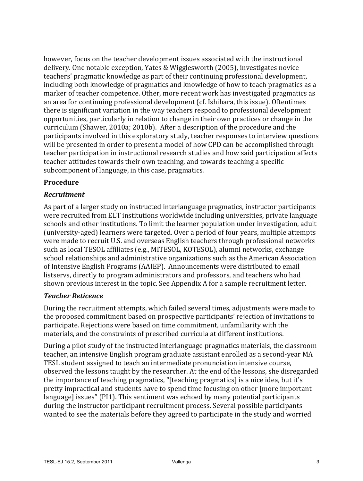however, focus on the teacher development issues associated with the instructional delivery. One notable exception, Yates & Wigglesworth (2005), investigates novice teachers' pragmatic knowledge as part of their continuing professional development, including both knowledge of pragmatics and knowledge of how to teach pragmatics as a marker of teacher competence. Other, more recent work has investigated pragmatics as an area for continuing professional development (cf. Ishihara, this issue). Oftentimes there is significant variation in the way teachers respond to professional development opportunities, particularly in relation to change in their own practices or change in the curriculum (Shawer, 2010a; 2010b). After a description of the procedure and the participants involved in this exploratory study, teacher responses to interview questions will be presented in order to present a model of how CPD can be accomplished through teacher participation in instructional research studies and how said participation affects teacher attitudes towards their own teaching, and towards teaching a specific subcomponent of language, in this case, pragmatics.

# **Procedure**

# *Recruitment*

As part of a larger study on instructed interlanguage pragmatics, instructor participants were recruited from ELT institutions worldwide including universities, private language schools and other institutions. To limit the learner population under investigation, adult (university-aged) learners were targeted. Over a period of four years, multiple attempts were made to recruit U.S. and overseas English teachers through professional networks such as local TESOL affiliates (e.g., MITESOL, KOTESOL), alumni networks, exchange school relationships and administrative organizations such as the American Association of Intensive English Programs (AAIEP). Announcements were distributed to email listservs, directly to program administrators and professors, and teachers who had shown previous interest in the topic. See Appendix A for a sample recruitment letter.

### *Teacher Reticence*

During the recruitment attempts, which failed several times, adjustments were made to the proposed commitment based on prospective participants' rejection of invitations to participate. Rejections were based on time commitment, unfamiliarity with the materials, and the constraints of prescribed curricula at different institutions.

During a pilot study of the instructed interlanguage pragmatics materials, the classroom teacher, an intensive English program graduate assistant enrolled as a second-year MA TESL student assigned to teach an intermediate pronunciation intensive course, observed the lessons taught by the researcher. At the end of the lessons, she disregarded the importance of teaching pragmatics, "[teaching pragmatics] is a nice idea, but it's pretty impractical and students have to spend time focusing on other [more important language] issues" (PI1). This sentiment was echoed by many potential participants during the instructor participant recruitment process. Several possible participants wanted to see the materials before they agreed to participate in the study and worried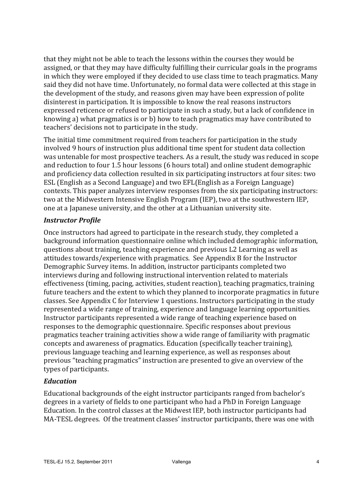that they might not be able to teach the lessons within the courses they would be assigned, or that they may have difficulty fulfilling their curricular goals in the programs in which they were employed if they decided to use class time to teach pragmatics. Many said they did not have time. Unfortunately, no formal data were collected at this stage in the development of the study, and reasons given may have been expression of polite disinterest in participation. It is impossible to know the real reasons instructors expressed reticence or refused to participate in such a study, but a lack of confidence in knowing a) what pragmatics is or b) how to teach pragmatics may have contributed to teachers' decisions not to participate in the study.

The initial time commitment required from teachers for participation in the study involved 9 hours of instruction plus additional time spent for student data collection was untenable for most prospective teachers. As a result, the study was reduced in scope and reduction to four 1.5 hour lessons (6 hours total) and online student demographic and proficiency data collection resulted in six participating instructors at four sites: two ESL (English as a Second Language) and two EFL(English as a Foreign Language) contexts. This paper analyzes interview responses from the six participating instructors: two at the Midwestern Intensive English Program (IEP), two at the southwestern IEP, one at a Japanese university, and the other at a Lithuanian university site.

# *Instructor Profile*

Once instructors had agreed to participate in the research study, they completed a background information questionnaire online which included demographic information, questions about training, teaching experience and previous L2 Learning as well as attitudes towards/experience with pragmatics. See Appendix B for the Instructor Demographic Survey items. In addition, instructor participants completed two interviews during and following instructional intervention related to materials effectiveness (timing, pacing, activities, student reaction), teaching pragmatics, training future teachers and the extent to which they planned to incorporate pragmatics in future classes. See Appendix C for Interview 1 questions. Instructors participating in the study represented a wide range of training, experience and language learning opportunities. Instructor participants represented a wide range of teaching experience based on responses to the demographic questionnaire. Specific responses about previous pragmatics teacher training activities show a wide range of familiarity with pragmatic concepts and awareness of pragmatics. Education (specifically teacher training), previous language teaching and learning experience, as well as responses about previous "teaching pragmatics" instruction are presented to give an overview of the types of participants.

# *Education*

Educational backgrounds of the eight instructor participants ranged from bachelor's degrees in a variety of fields to one participant who had a PhD in Foreign Language Education. In the control classes at the Midwest IEP, both instructor participants had MA-TESL degrees. Of the treatment classes' instructor participants, there was one with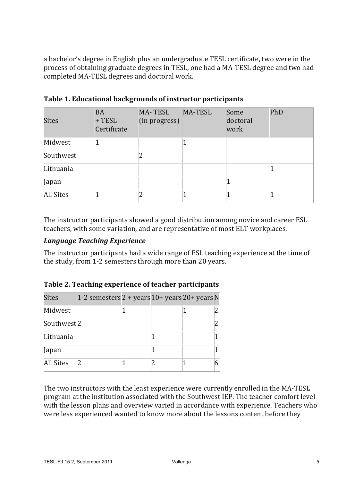a bachelor's degree in English plus an undergraduate TESL certificate, two were in the process of obtaining graduate degrees in TESL, one had a MA-TESL degree and two had completed MA-TESL degrees and doctoral work.

| <b>Sites</b> | <b>BA</b><br>$+$ TESL<br>Certificate | <b>MA-TESL</b><br>(in progress) | MA-TESL | Some<br>doctoral<br>work | PhD |
|--------------|--------------------------------------|---------------------------------|---------|--------------------------|-----|
| Midwest      |                                      |                                 |         |                          |     |
| Southwest    |                                      |                                 |         |                          |     |
| Lithuania    |                                      |                                 |         |                          |     |
| Japan        |                                      |                                 |         |                          |     |
| All Sites    |                                      |                                 |         |                          |     |

Table 1. Educational backgrounds of instructor participants

The instructor participants showed a good distribution among novice and career ESL teachers, with some variation, and are representative of most ELT workplaces.

### *Language Teaching Experience*

The instructor participants had a wide range of ESL teaching experience at the time of the study, from 1-2 semesters through more than 20 years.

| <b>Sites</b>           | 1-2 semesters $2 + years$ 10+ years $20 + years$ N |  |  |
|------------------------|----------------------------------------------------|--|--|
| Midwest                |                                                    |  |  |
| Southwest <sup>2</sup> |                                                    |  |  |
| Lithuania              |                                                    |  |  |
| Japan                  |                                                    |  |  |
| <b>All Sites</b>       |                                                    |  |  |

The two instructors with the least experience were currently enrolled in the MA-TESL program at the institution associated with the Southwest IEP. The teacher comfort level with the lesson plans and overview varied in accordance with experience. Teachers who were less experienced wanted to know more about the lessons content before they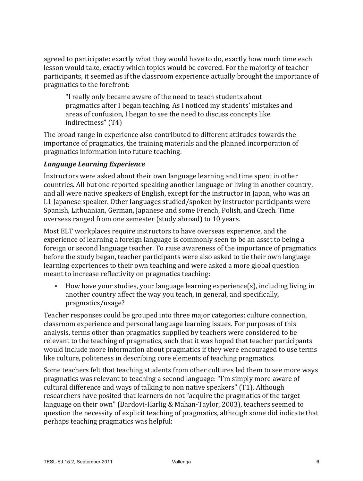agreed to participate: exactly what they would have to do, exactly how much time each lesson would take, exactly which topics would be covered. For the majority of teacher participants, it seemed as if the classroom experience actually brought the importance of pragmatics to the forefront:

"I really only became aware of the need to teach students about pragmatics after I began teaching. As I noticed my students' mistakes and areas of confusion, I began to see the need to discuss concepts like indirectness" (T4)

The broad range in experience also contributed to different attitudes towards the importance of pragmatics, the training materials and the planned incorporation of pragmatics information into future teaching.

# *Language Learning Experience*

Instructors were asked about their own language learning and time spent in other countries. All but one reported speaking another language or living in another country, and all were native speakers of English, except for the instructor in Japan, who was an L1 Japanese speaker. Other languages studied/spoken by instructor participants were Spanish, Lithuanian, German, Japanese and some French, Polish, and Czech. Time overseas ranged from one semester (study abroad) to 10 years.

Most ELT workplaces require instructors to have overseas experience, and the experience of learning a foreign language is commonly seen to be an asset to being a foreign or second language teacher. To raise awareness of the importance of pragmatics before the study began, teacher participants were also asked to tie their own language learning experiences to their own teaching and were asked a more global question meant to increase reflectivity on pragmatics teaching:

• How have your studies, your language learning experience(s), including living in another country affect the way you teach, in general, and specifically, pragmatics/usage? 

Teacher responses could be grouped into three major categories: culture connection, classroom experience and personal language learning issues. For purposes of this analysis, terms other than pragmatics supplied by teachers were considered to be relevant to the teaching of pragmatics, such that it was hoped that teacher participants would include more information about pragmatics if they were encouraged to use terms like culture, politeness in describing core elements of teaching pragmatics.

Some teachers felt that teaching students from other cultures led them to see more ways pragmatics was relevant to teaching a second language: "I'm simply more aware of cultural difference and ways of talking to non native speakers" (T1). Although researchers have posited that learners do not "acquire the pragmatics of the target language on their own" (Bardovi-Harlig & Mahan-Taylor, 2003), teachers seemed to question the necessity of explicit teaching of pragmatics, although some did indicate that perhaps teaching pragmatics was helpful: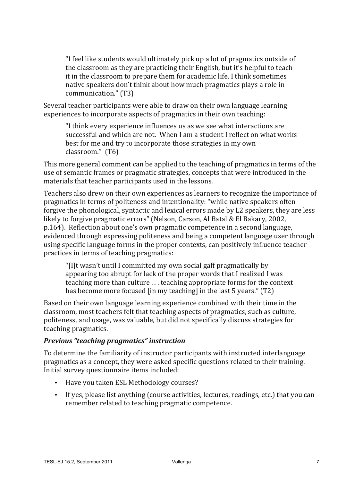"I feel like students would ultimately pick up a lot of pragmatics outside of the classroom as they are practicing their English, but it's helpful to teach it in the classroom to prepare them for academic life. I think sometimes native speakers don't think about how much pragmatics plays a role in communication." (T3)

Several teacher participants were able to draw on their own language learning experiences to incorporate aspects of pragmatics in their own teaching:

"I think every experience influences us as we see what interactions are successful and which are not. When I am a student I reflect on what works best for me and try to incorporate those strategies in my own classroom." (T6)

This more general comment can be applied to the teaching of pragmatics in terms of the use of semantic frames or pragmatic strategies, concepts that were introduced in the materials that teacher participants used in the lessons.

Teachers also drew on their own experiences as learners to recognize the importance of pragmatics in terms of politeness and intentionality: "while native speakers often forgive the phonological, syntactic and lexical errors made by L2 speakers, they are less likely to forgive pragmatic errors" (Nelson, Carson, Al Batal & El Bakary, 2002, p.164). Reflection about one's own pragmatic competence in a second language, evidenced through expressing politeness and being a competent language user through using specific language forms in the proper contexts, can positively influence teacher practices in terms of teaching pragmatics:

"[I]t wasn't until I committed my own social gaff pragmatically by appearing too abrupt for lack of the proper words that I realized I was teaching more than culture  $\ldots$  teaching appropriate forms for the context has become more focused  $\left[ \text{in } m \right]$  teaching] in the last 5 years."  $\left( \text{T2} \right)$ 

Based on their own language learning experience combined with their time in the classroom, most teachers felt that teaching aspects of pragmatics, such as culture, politeness, and usage, was valuable, but did not specifically discuss strategies for teaching pragmatics.

### *Previous "teaching pragmatics" instruction*

To determine the familiarity of instructor participants with instructed interlanguage pragmatics as a concept, they were asked specific questions related to their training. Initial survey questionnaire items included:

- Have you taken ESL Methodology courses?
- If yes, please list anything (course activities, lectures, readings, etc.) that you can remember related to teaching pragmatic competence.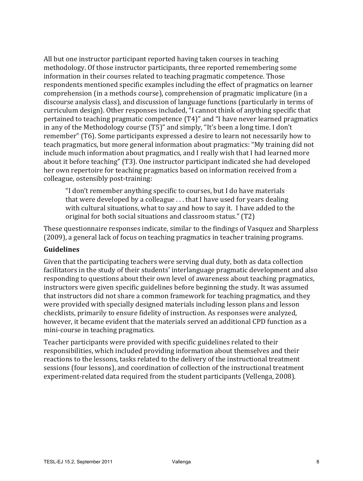All but one instructor participant reported having taken courses in teaching methodology. Of those instructor participants, three reported remembering some information in their courses related to teaching pragmatic competence. Those respondents mentioned specific examples including the effect of pragmatics on learner comprehension (in a methods course), comprehension of pragmatic implicature (in a discourse analysis class), and discussion of language functions (particularly in terms of curriculum design). Other responses included, "I cannot think of anything specific that pertained to teaching pragmatic competence (T4)" and "I have never learned pragmatics in any of the Methodology course (T5)" and simply, "It's been a long time. I don't remember" (T6). Some participants expressed a desire to learn not necessarily how to teach pragmatics, but more general information about pragmatics: "My training did not include much information about pragmatics, and I really wish that I had learned more about it before teaching" (T3). One instructor participant indicated she had developed her own repertoire for teaching pragmatics based on information received from a colleague, ostensibly post-training:

"I don't remember anything specific to courses, but I do have materials that were developed by a colleague  $\ldots$  that I have used for years dealing with cultural situations, what to say and how to say it. I have added to the original for both social situations and classroom status." (T2)

These questionnaire responses indicate, similar to the findings of Vasquez and Sharpless (2009), a general lack of focus on teaching pragmatics in teacher training programs.

### **Guidelines**

Given that the participating teachers were serving dual duty, both as data collection facilitators in the study of their students' interlanguage pragmatic development and also responding to questions about their own level of awareness about teaching pragmatics, instructors were given specific guidelines before beginning the study. It was assumed that instructors did not share a common framework for teaching pragmatics, and they were provided with specially designed materials including lesson plans and lesson checklists, primarily to ensure fidelity of instruction. As responses were analyzed, however, it became evident that the materials served an additional CPD function as a mini-course in teaching pragmatics.

Teacher participants were provided with specific guidelines related to their responsibilities, which included providing information about themselves and their reactions to the lessons, tasks related to the delivery of the instructional treatment sessions (four lessons), and coordination of collection of the instructional treatment experiment-related data required from the student participants (Vellenga, 2008).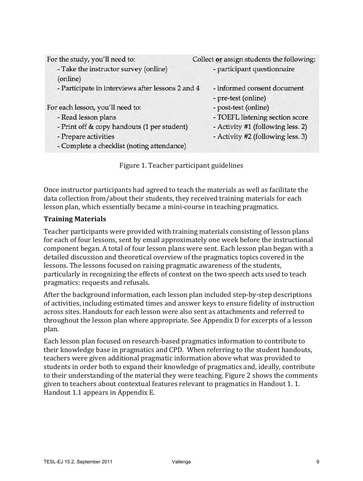| For the study, you'll need to:                    | Collect or assign students the following:          |
|---------------------------------------------------|----------------------------------------------------|
| - Take the instructor survey (online)             | - participant questionnaire                        |
| (online)                                          |                                                    |
| - Participate in interviews after lessons 2 and 4 | - informed consent document<br>- pre-test (online) |
| For each lesson, you'll need to:                  | - post-test (online)                               |
| - Read lesson plans                               | - TOEFL listening section score                    |
| - Print off & copy handouts (1 per student)       | - Activity #1 (following less. 2)                  |
| - Prepare activities                              | - Activity #2 (following less. 3)                  |
| - Complete a checklist (noting attendance)        |                                                    |
|                                                   |                                                    |

Figure 1. Teacher participant guidelines

Once instructor participants had agreed to teach the materials as well as facilitate the data collection from/about their students, they received training materials for each lesson plan, which essentially became a mini-course in teaching pragmatics.

### **Training Materials**

Teacher participants were provided with training materials consisting of lesson plans for each of four lessons, sent by email approximately one week before the instructional component began. A total of four lesson plans were sent. Each lesson plan began with a detailed discussion and theoretical overview of the pragmatics topics covered in the lessons. The lessons focused on raising pragmatic awareness of the students, particularly in recognizing the effects of context on the two speech acts used to teach pragmatics: requests and refusals.

After the background information, each lesson plan included step-by-step descriptions of activities, including estimated times and answer keys to ensure fidelity of instruction across sites. Handouts for each lesson were also sent as attachments and referred to throughout the lesson plan where appropriate. See Appendix D for excerpts of a lesson plan.

Each lesson plan focused on research-based pragmatics information to contribute to their knowledge base in pragmatics and CPD. When referring to the student handouts, teachers were given additional pragmatic information above what was provided to students in order both to expand their knowledge of pragmatics and, ideally, contribute to their understanding of the material they were teaching. Figure 2 shows the comments given to teachers about contextual features relevant to pragmatics in Handout 1.1. Handout 1.1 appears in Appendix E.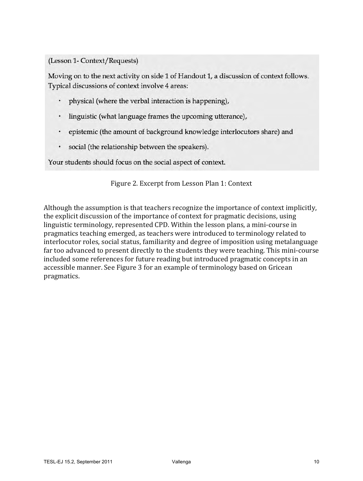(Lesson 1- Context/Requests)

Moving on to the next activity on side 1 of Handout 1, a discussion of context follows. Typical discussions of context involve 4 areas:

- physical (where the verbal interaction is happening),
- linguistic (what language frames the upcoming utterance),
- epistemic (the amount of background knowledge interlocutors share) and
- social (the relationship between the speakers).

Your students should focus on the social aspect of context.

#### Figure 2. Excerpt from Lesson Plan 1: Context

Although the assumption is that teachers recognize the importance of context implicitly, the explicit discussion of the importance of context for pragmatic decisions, using linguistic terminology, represented CPD. Within the lesson plans, a mini-course in pragmatics teaching emerged, as teachers were introduced to terminology related to interlocutor roles, social status, familiarity and degree of imposition using metalanguage far too advanced to present directly to the students they were teaching. This mini-course included some references for future reading but introduced pragmatic concepts in an accessible manner. See Figure 3 for an example of terminology based on Gricean pragmatics.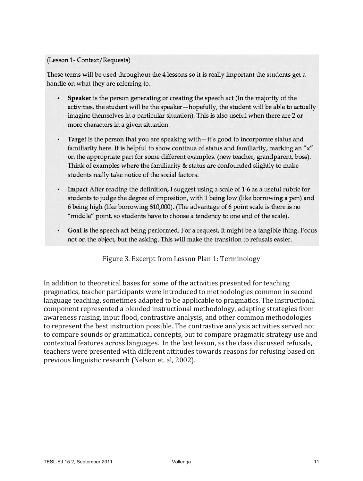#### (Lesson 1- Context/Requests)

These terms will be used throughout the 4 lessons so it is really important the students get a handle on what they are referring to.

- Speaker is the person generating or creating the speech act (In the majority of the activities, the student will be the speaker-hopefully, the student will be able to actually imagine themselves in a particular situation). This is also useful when there are 2 or more characters in a given situation.
- $\bullet$ **Target** is the person that you are speaking with $-i$ t's good to incorporate status and familiarity here. It is helpful to show continua of status and familiarity, marking an "x" on the appropriate part for some different examples. (new teacher, grandparent, boss). Think of examples where the familiarity & status are confounded slightly to make students really take notice of the social factors.
- Impact After reading the definition, I suggest using a scale of 1-6 as a useful rubric for  $\bullet$ students to judge the degree of imposition, with 1 being low (like borrowing a pen) and 6 being high (like borrowing \$10,000). (The advantage of 6 point scale is there is no "middle" point, so students have to choose a tendency to one end of the scale).
- Goal is the speech act being performed. For a request, it might be a tangible thing. Focus not on the object, but the asking. This will make the transition to refusals easier.

Figure 3. Excerpt from Lesson Plan 1: Terminology

In addition to theoretical bases for some of the activities presented for teaching pragmatics, teacher participants were introduced to methodologies common in second language teaching, sometimes adapted to be applicable to pragmatics. The instructional component represented a blended instructional methodology, adapting strategies from awareness raising, input flood, contrastive analysis, and other common methodologies to represent the best instruction possible. The contrastive analysis activities served not to compare sounds or grammatical concepts, but to compare pragmatic strategy use and contextual features across languages. In the last lesson, as the class discussed refusals, teachers were presented with different attitudes towards reasons for refusing based on previous linguistic research (Nelson et. al, 2002).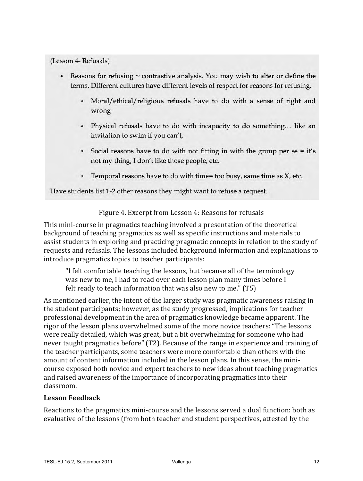(Lesson 4- Refusals)

- Reasons for refusing  $\sim$  contrastive analysis. You may wish to alter or define the terms. Different cultures have different levels of respect for reasons for refusing.
	- Moral/ethical/religious refusals have to do with a sense of right and wrong
	- <sup>1</sup> Physical refusals have to do with incapacity to do something... like an invitation to swim if you can't,
	- $\overline{\phantom{a}}$  Social reasons have to do with not fitting in with the group per se = it's not my thing, I don't like those people, etc.
	- Temporal reasons have to do with time= too busy, same time as X, etc.  $\Box$

Have students list 1-2 other reasons they might want to refuse a request.

Figure 4. Excerpt from Lesson 4: Reasons for refusals

This mini-course in pragmatics teaching involved a presentation of the theoretical background of teaching pragmatics as well as specific instructions and materials to assist students in exploring and practicing pragmatic concepts in relation to the study of requests and refusals. The lessons included background information and explanations to introduce pragmatics topics to teacher participants:

"I felt comfortable teaching the lessons, but because all of the terminology was new to me, I had to read over each lesson plan many times before I felt ready to teach information that was also new to me."  $(T5)$ 

As mentioned earlier, the intent of the larger study was pragmatic awareness raising in the student participants; however, as the study progressed, implications for teacher professional development in the area of pragmatics knowledge became apparent. The rigor of the lesson plans overwhelmed some of the more novice teachers: "The lessons" were really detailed, which was great, but a bit overwhelming for someone who had never taught pragmatics before" (T2). Because of the range in experience and training of the teacher participants, some teachers were more comfortable than others with the amount of content information included in the lesson plans. In this sense, the minicourse exposed both novice and expert teachers to new ideas about teaching pragmatics and raised awareness of the importance of incorporating pragmatics into their classroom. 

#### **Lesson Feedback**

Reactions to the pragmatics mini-course and the lessons served a dual function: both as evaluative of the lessons (from both teacher and student perspectives, attested by the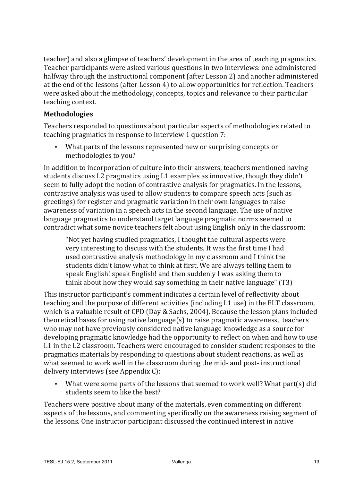teacher) and also a glimpse of teachers' development in the area of teaching pragmatics. Teacher participants were asked various questions in two interviews: one administered halfway through the instructional component (after Lesson 2) and another administered at the end of the lessons (after Lesson 4) to allow opportunities for reflection. Teachers were asked about the methodology, concepts, topics and relevance to their particular teaching context.

#### **Methodologies**

Teachers responded to questions about particular aspects of methodologies related to teaching pragmatics in response to Interview 1 question 7:

• What parts of the lessons represented new or surprising concepts or methodologies to you?

In addition to incorporation of culture into their answers, teachers mentioned having students discuss L2 pragmatics using L1 examples as innovative, though they didn't seem to fully adopt the notion of contrastive analysis for pragmatics. In the lessons, contrastive analysis was used to allow students to compare speech acts (such as greetings) for register and pragmatic variation in their own languages to raise awareness of variation in a speech acts in the second language. The use of native language pragmatics to understand target language pragmatic norms seemed to contradict what some novice teachers felt about using English only in the classroom:

"Not yet having studied pragmatics, I thought the cultural aspects were very interesting to discuss with the students. It was the first time I had used contrastive analysis methodology in my classroom and I think the students didn't know what to think at first. We are always telling them to speak English! speak English! and then suddenly I was asking them to think about how they would say something in their native language"  $(T3)$ 

This instructor participant's comment indicates a certain level of reflectivity about teaching and the purpose of different activities (including L1 use) in the ELT classroom, which is a valuable result of CPD (Day & Sachs, 2004). Because the lesson plans included theoretical bases for using native language $(s)$  to raise pragmatic awareness, teachers who may not have previously considered native language knowledge as a source for developing pragmatic knowledge had the opportunity to reflect on when and how to use L1 in the L2 classroom. Teachers were encouraged to consider student responses to the pragmatics materials by responding to questions about student reactions, as well as what seemed to work well in the classroom during the mid- and post- instructional delivery interviews (see Appendix C):

• What were some parts of the lessons that seemed to work well? What part(s) did students seem to like the best?

Teachers were positive about many of the materials, even commenting on different aspects of the lessons, and commenting specifically on the awareness raising segment of the lessons. One instructor participant discussed the continued interest in native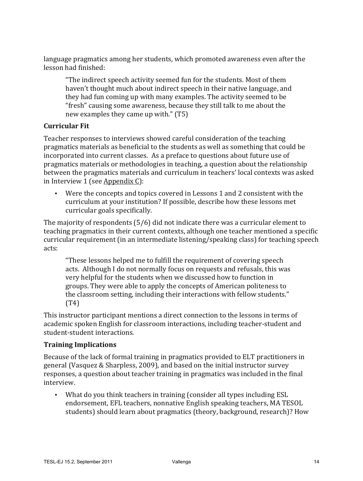language pragmatics among her students, which promoted awareness even after the lesson had finished:

"The indirect speech activity seemed fun for the students. Most of them haven't thought much about indirect speech in their native language, and they had fun coming up with many examples. The activity seemed to be "fresh" causing some awareness, because they still talk to me about the new examples they came up with." (T5)

# **Curricular Fit**

Teacher responses to interviews showed careful consideration of the teaching pragmatics materials as beneficial to the students as well as something that could be incorporated into current classes. As a preface to questions about future use of pragmatics materials or methodologies in teaching, a question about the relationship between the pragmatics materials and curriculum in teachers' local contexts was asked in Interview 1 (see Appendix  $C$ ):

• Were the concepts and topics covered in Lessons 1 and 2 consistent with the curriculum at your institution? If possible, describe how these lessons met curricular goals specifically.

The majority of respondents  $(5/6)$  did not indicate there was a curricular element to teaching pragmatics in their current contexts, although one teacher mentioned a specific curricular requirement (in an intermediate listening/speaking class) for teaching speech acts:

"These lessons helped me to fulfill the requirement of covering speech acts. Although I do not normally focus on requests and refusals, this was very helpful for the students when we discussed how to function in groups. They were able to apply the concepts of American politeness to the classroom setting, including their interactions with fellow students." (T4)

This instructor participant mentions a direct connection to the lessons in terms of academic spoken English for classroom interactions, including teacher-student and student-student interactions.

### **Training Implications**

Because of the lack of formal training in pragmatics provided to ELT practitioners in general (Vasquez & Sharpless, 2009), and based on the initial instructor survey responses, a question about teacher training in pragmatics was included in the final interview.

• What do you think teachers in training (consider all types including ESL endorsement, EFL teachers, nonnative English speaking teachers, MA TESOL students) should learn about pragmatics (theory, background, research)? How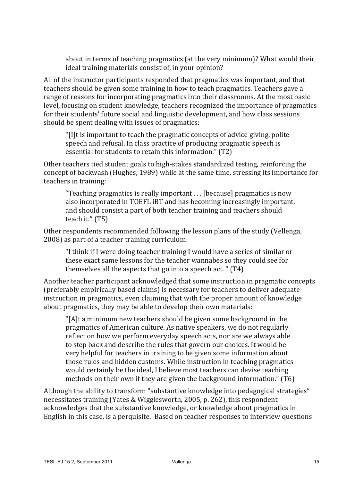about in terms of teaching pragmatics (at the very minimum)? What would their ideal training materials consist of, in your opinion?

All of the instructor participants responded that pragmatics was important, and that teachers should be given some training in how to teach pragmatics. Teachers gave a range of reasons for incorporating pragmatics into their classrooms. At the most basic level, focusing on student knowledge, teachers recognized the importance of pragmatics for their students' future social and linguistic development, and how class sessions should be spent dealing with issues of pragmatics:

"[I]t is important to teach the pragmatic concepts of advice giving, polite speech and refusal. In class practice of producing pragmatic speech is essential for students to retain this information." (T2)

Other teachers tied student goals to high-stakes standardized testing, reinforcing the concept of backwash (Hughes, 1989) while at the same time, stressing its importance for teachers in training:

"Teaching pragmatics is really important  $\dots$  [because] pragmatics is now also incorporated in TOEFL iBT and has becoming increasingly important, and should consist a part of both teacher training and teachers should teach it."  $(T5)$ 

Other respondents recommended following the lesson plans of the study (Vellenga, 2008) as part of a teacher training curriculum:

"I think if I were doing teacher training I would have a series of similar or these exact same lessons for the teacher wannabes so they could see for themselves all the aspects that go into a speech act. " $(T4)$ 

Another teacher participant acknowledged that some instruction in pragmatic concepts (preferably empirically based claims) is necessary for teachers to deliver adequate instruction in pragmatics, even claiming that with the proper amount of knowledge about pragmatics, they may be able to develop their own materials:

" $[A]$ t a minimum new teachers should be given some background in the pragmatics of American culture. As native speakers, we do not regularly reflect on how we perform everyday speech acts, nor are we always able to step back and describe the rules that govern our choices. It would be very helpful for teachers in training to be given some information about those rules and hidden customs. While instruction in teaching pragmatics would certainly be the ideal, I believe most teachers can devise teaching methods on their own if they are given the background information."  $(T6)$ 

Although the ability to transform "substantive knowledge into pedagogical strategies" necessitates training (Yates & Wigglesworth, 2005, p. 262), this respondent acknowledges that the substantive knowledge, or knowledge about pragmatics in English in this case, is a perquisite. Based on teacher responses to interview questions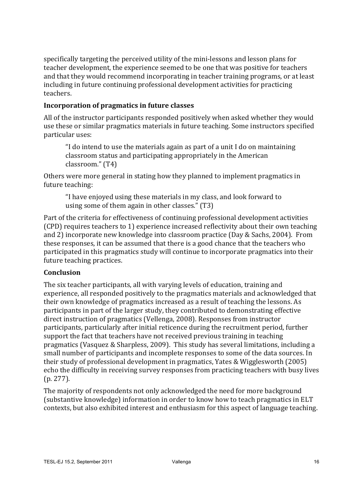specifically targeting the perceived utility of the mini-lessons and lesson plans for teacher development, the experience seemed to be one that was positive for teachers and that they would recommend incorporating in teacher training programs, or at least including in future continuing professional development activities for practicing teachers.

## **Incorporation of pragmatics in future classes**

All of the instructor participants responded positively when asked whether they would use these or similar pragmatics materials in future teaching. Some instructors specified particular uses:

"I do intend to use the materials again as part of a unit I do on maintaining classroom status and participating appropriately in the American classroom." (T4)

Others were more general in stating how they planned to implement pragmatics in future teaching:

"I have enjoyed using these materials in my class, and look forward to using some of them again in other classes."  $(T3)$ 

Part of the criteria for effectiveness of continuing professional development activities (CPD) requires teachers to 1) experience increased reflectivity about their own teaching and 2) incorporate new knowledge into classroom practice (Day & Sachs, 2004). From these responses, it can be assumed that there is a good chance that the teachers who participated in this pragmatics study will continue to incorporate pragmatics into their future teaching practices.

### **Conclusion**

The six teacher participants, all with varying levels of education, training and experience, all responded positively to the pragmatics materials and acknowledged that their own knowledge of pragmatics increased as a result of teaching the lessons. As participants in part of the larger study, they contributed to demonstrating effective direct instruction of pragmatics (Vellenga, 2008). Responses from instructor participants, particularly after initial reticence during the recruitment period, further support the fact that teachers have not received previous training in teaching pragmatics (Vasquez & Sharpless, 2009). This study has several limitations, including a small number of participants and incomplete responses to some of the data sources. In their study of professional development in pragmatics, Yates & Wigglesworth  $(2005)$ echo the difficulty in receiving survey responses from practicing teachers with busy lives  $(p. 277)$ .

The majority of respondents not only acknowledged the need for more background (substantive knowledge) information in order to know how to teach pragmatics in ELT contexts, but also exhibited interest and enthusiasm for this aspect of language teaching.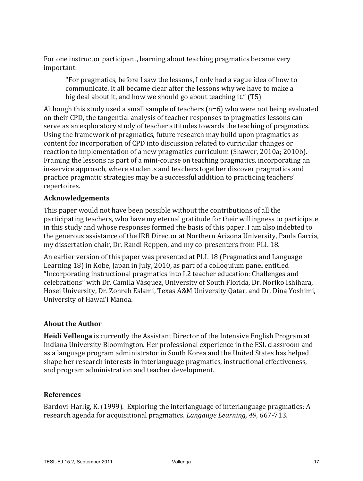For one instructor participant, learning about teaching pragmatics became very important: 

"For pragmatics, before I saw the lessons, I only had a vague idea of how to communicate. It all became clear after the lessons why we have to make a big deal about it, and how we should go about teaching it." (T5)

Although this study used a small sample of teachers  $(n=6)$  who were not being evaluated on their CPD, the tangential analysis of teacher responses to pragmatics lessons can serve as an exploratory study of teacher attitudes towards the teaching of pragmatics. Using the framework of pragmatics, future research may build upon pragmatics as content for incorporation of CPD into discussion related to curricular changes or reaction to implementation of a new pragmatics curriculum (Shawer, 2010a; 2010b). Framing the lessons as part of a mini-course on teaching pragmatics, incorporating an in-service approach, where students and teachers together discover pragmatics and practice pragmatic strategies may be a successful addition to practicing teachers' repertoires.

# **Acknowledgements**

This paper would not have been possible without the contributions of all the participating teachers, who have my eternal gratitude for their willingness to participate in this study and whose responses formed the basis of this paper. I am also indebted to the generous assistance of the IRB Director at Northern Arizona University, Paula Garcia, my dissertation chair, Dr. Randi Reppen, and my co-presenters from PLL 18.

An earlier version of this paper was presented at PLL 18 (Pragmatics and Language Learning 18) in Kobe, Japan in July, 2010, as part of a colloquium panel entitled "Incorporating instructional pragmatics into L2 teacher education: Challenges and celebrations" with Dr. Camila Vásquez, University of South Florida, Dr. Noriko Ishihara, Hosei University, Dr. Zohreh Eslami, Texas A&M University Qatar, and Dr. Dina Yoshimi, University of Hawai'i Manoa.

#### **About the Author**

**Heidi Vellenga** is currently the Assistant Director of the Intensive English Program at Indiana University Bloomington. Her professional experience in the ESL classroom and as a language program administrator in South Korea and the United States has helped shape her research interests in interlanguage pragmatics, instructional effectiveness, and program administration and teacher development.

#### **References**

Bardovi-Harlig, K. (1999). Exploring the interlanguage of interlanguage pragmatics:  $A$ research agenda for acquisitional pragmatics. *Langauge Learning*, 49, 667-713.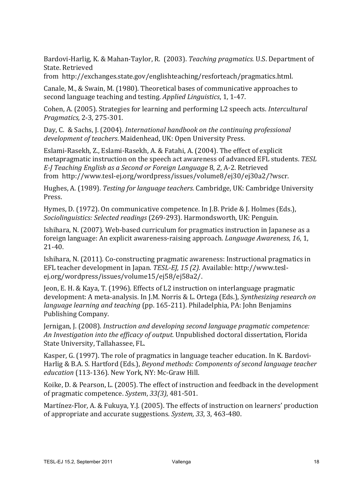Bardovi-Harlig, K. & Mahan-Taylor, R. (2003). *Teaching pragmatics.* U.S. Department of State. Retrieved

from http://exchanges.state.gov/englishteaching/resforteach/pragmatics.html. 

Canale, M., & Swain, M. (1980). Theoretical bases of communicative approaches to second language teaching and testing. *Applied Linguistics*, 1, 1-47.

Cohen, A. (2005). Strategies for learning and performing L2 speech acts. *Intercultural Pragmatics,* 2-3, 275-301.

Day, C. & Sachs, J. (2004). *International handbook on the continuing professional* development of teachers. Maidenhead, UK: Open University Press.

Eslami-Rasekh, Z., Eslami-Rasekh, A. & Fatahi, A. (2004). The effect of explicit metapragmatic instruction on the speech act awareness of advanced EFL students. *TESL E-J Teaching English as a Second or Foreign Language* 8, *2*, A-2. Retrieved from http://www.tesl-ej.org/wordpress/issues/volume8/ej30/ej30a2/?wscr. 

Hughes, A. (1989). *Testing for language teachers.* Cambridge, UK: Cambridge University Press.

Hymes, D. (1972). On communicative competence. In J.B. Pride & J. Holmes (Eds.), *Sociolinguistics: Selected readings* (269-293). Harmondsworth, UK: Penguin.

Ishihara, N. (2007). Web-based curriculum for pragmatics instruction in Japanese as a foreign language: An explicit awareness-raising approach. *Language Awareness*, 16, 1, 21-40.

Ishihara, N.  $(2011)$ . Co-constructing pragmatic awareness: Instructional pragmatics in EFL teacher development in Japan. *TESL-EJ*, 15 (2). Available: http://www.teslej.org/wordpress/issues/volume15/ej58/ej58a2/. 

Jeon, E. H. & Kaya, T. (1996). Effects of L2 instruction on interlanguage pragmatic development: A meta-analysis. In J.M. Norris & L. Ortega (Eds.), *Synthesizing research on language learning and teaching* (pp. 165-211). Philadelphia, PA: John Benjamins Publishing Company.

Jernigan, J. (2008). *Instruction and developing second language pragmatic competence: An Investigation into the efficacy of output*. Unpublished doctoral dissertation, Florida State University, Tallahassee, FL.

Kasper, G. (1997). The role of pragmatics in language teacher education. In K. Bardovi-Harlig & B.A. S. Hartford (Eds.), *Beyond methods: Components of second language teacher* education (113-136). New York, NY: Mc-Graw Hill.

Koike, D. & Pearson, L. (2005). The effect of instruction and feedback in the development of pragmatic competence. *System*, 33(3), 481-501.

Martínez-Flor, A. & Fukuya, Y.J. (2005). The effects of instruction on learners' production of appropriate and accurate suggestions. *System,* 33, 3, 463-480.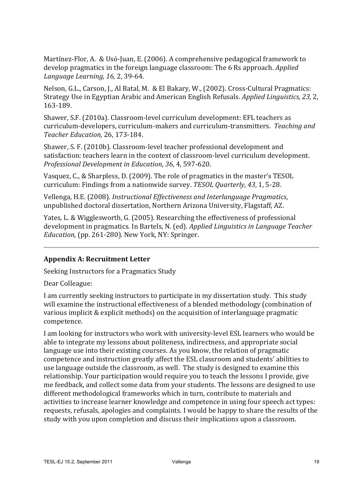Martínez-Flor, A. & Usó-Juan, E. (2006). A comprehensive pedagogical framework to develop pragmatics in the foreign language classroom: The 6 Rs approach. *Applied Language Learning, 16,* 2, 39-64.

Nelson, G.L., Carson, J., Al Batal, M. & El Bakary, W., (2002). Cross-Cultural Pragmatics: Strategy Use in Egyptian Arabic and American English Refusals. *Applied Linguistics, 23, 2,* 163-189.

Shawer, S.F. (2010a). Classroom-level curriculum development: EFL teachers as curriculum-developers, curriculum-makers and curriculum-transmitters. Teaching and *Teacher Education,* 26, 173-184.

Shawer, S. F. (2010b). Classroom-level teacher professional development and satisfaction: teachers learn in the context of classroom-level curriculum development. *Professional Development in Education, 36*, 4, 597-620.

Vasquez, C., & Sharpless, D. (2009). The role of pragmatics in the master's TESOL curriculum: Findings from a nationwide survey. *TESOL Quarterly*, 43, 1, 5-28.

Vellenga, H.E. (2008). *Instructional Effectiveness and Interlanguage Pragmatics*, unpublished doctoral dissertation, Northern Arizona University, Flagstaff, AZ.

Yates, L. & Wigglesworth, G. (2005). Researching the effectiveness of professional development in pragmatics. In Bartels, N. (ed). *Applied Linguistics in Language Teacher Education,* (pp. 261-280). New York, NY: Springer.

### **Appendix A: Recruitment Letter**

Seeking Instructors for a Pragmatics Study

Dear Colleague:

I am currently seeking instructors to participate in my dissertation study. This study will examine the instructional effectiveness of a blended methodology (combination of various implicit  $&$  explicit methods) on the acquisition of interlanguage pragmatic competence. 

I am looking for instructors who work with university-level ESL learners who would be able to integrate my lessons about politeness, indirectness, and appropriate social language use into their existing courses. As you know, the relation of pragmatic competence and instruction greatly affect the ESL classroom and students' abilities to use language outside the classroom, as well. The study is designed to examine this relationship. Your participation would require you to teach the lessons I provide, give me feedback, and collect some data from your students. The lessons are designed to use different methodological frameworks which in turn, contribute to materials and activities to increase learner knowledge and competence in using four speech act types: requests, refusals, apologies and complaints. I would be happy to share the results of the study with you upon completion and discuss their implications upon a classroom.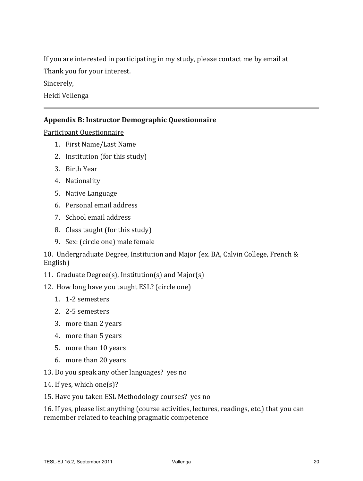If you are interested in participating in my study, please contact me by email at

Thank you for your interest.

Sincerely,

Heidi Vellenga

# **Appendix B: Instructor Demographic Questionnaire**

Participant Questionnaire

- 1. First Name/Last Name
- 2. Institution (for this study)
- 3. Birth Year
- 4. Nationality
- 5. Native Language
- 6. Personal email address
- 7. School email address
- 8. Class taught (for this study)
- 9. Sex: (circle one) male female

10. Undergraduate Degree, Institution and Major (ex. BA, Calvin College, French & English) 

- 11. Graduate Degree(s), Institution(s) and Major(s)
- 12. How long have you taught ESL? (circle one)
	- 1. 1-2 semesters
	- 2. 2-5 semesters
	- 3. more than 2 years
	- 4. more than 5 years
	- 5. more than 10 years
	- 6. more than 20 years
- 13. Do you speak any other languages? yes no
- 14. If yes, which one(s)?
- 15. Have you taken ESL Methodology courses? yes no

16. If yes, please list anything (course activities, lectures, readings, etc.) that you can remember related to teaching pragmatic competence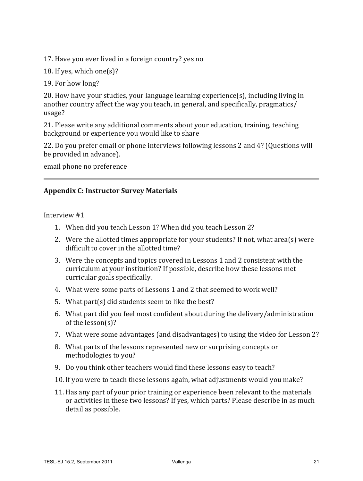17. Have you ever lived in a foreign country? yes no

18. If yes, which one(s)?

19. For how long?

 $20.$  How have your studies, your language learning experience(s), including living in another country affect the way you teach, in general, and specifically, pragmatics/ usage?

21. Please write any additional comments about your education, training, teaching background or experience you would like to share

22. Do you prefer email or phone interviews following lessons 2 and 4? (Questions will be provided in advance).

email phone no preference

### **Appendix C: Instructor Survey Materials**

Interview #1

- 1. When did you teach Lesson 1? When did you teach Lesson 2?
- 2. Were the allotted times appropriate for your students? If not, what area(s) were difficult to cover in the allotted time?
- 3. Were the concepts and topics covered in Lessons 1 and 2 consistent with the curriculum at your institution? If possible, describe how these lessons met curricular goals specifically.
- 4. What were some parts of Lessons 1 and 2 that seemed to work well?
- 5. What  $part(s)$  did students seem to like the best?
- 6. What part did you feel most confident about during the delivery/administration of the  $lesson(s)$ ?
- 7. What were some advantages (and disadvantages) to using the video for Lesson 2?
- 8. What parts of the lessons represented new or surprising concepts or methodologies to you?
- 9. Do you think other teachers would find these lessons easy to teach?
- 10. If you were to teach these lessons again, what adjustments would you make?
- 11. Has any part of your prior training or experience been relevant to the materials or activities in these two lessons? If yes, which parts? Please describe in as much detail as possible.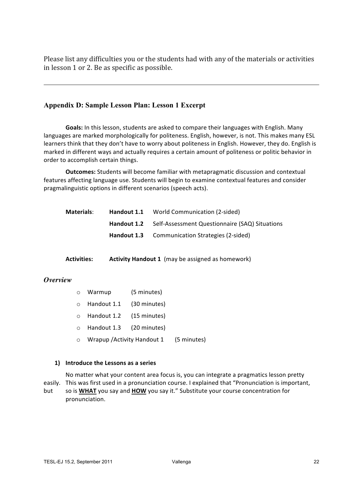Please list any difficulties you or the students had with any of the materials or activities in lesson 1 or 2. Be as specific as possible.

#### **Appendix D: Sample Lesson Plan: Lesson 1 Excerpt**

Goals: In this lesson, students are asked to compare their languages with English. Many languages are marked morphologically for politeness. English, however, is not. This makes many ESL learners think that they don't have to worry about politeness in English. However, they do. English is marked in different ways and actually requires a certain amount of politeness or politic behavior in order to accomplish certain things.

**Outcomes:** Students will become familiar with metapragmatic discussion and contextual features affecting language use. Students will begin to examine contextual features and consider pragmalinguistic options in different scenarios (speech acts).

| <b>Materials:</b><br>Handout 1.1 | World Communication (2-sided)                         |
|----------------------------------|-------------------------------------------------------|
| Handout 1.2                      | Self-Assessment Questionnaire (SAQ) Situations        |
|                                  | <b>Handout 1.3</b> Communication Strategies (2-sided) |

**Activities: Activity Handout 1** (may be assigned as homework)

#### *Overview*

| $\circ$ Warmup                   | (5 minutes) |  |  |
|----------------------------------|-------------|--|--|
| $\circ$ Handout 1.1 (30 minutes) |             |  |  |
| $\circ$ Handout 1.2 (15 minutes) |             |  |  |
| o Handout 1.3 (20 minutes)       |             |  |  |
|                                  | .           |  |  |

 $\circ$  Wrapup / Activity Handout 1 (5 minutes)

#### **1) Introduce the Lessons as a series**

No matter what your content area focus is, you can integrate a pragmatics lesson pretty easily. This was first used in a pronunciation course. I explained that "Pronunciation is important, but so is **WHAT** you say and **HOW** you say it." Substitute your course concentration for pronunciation.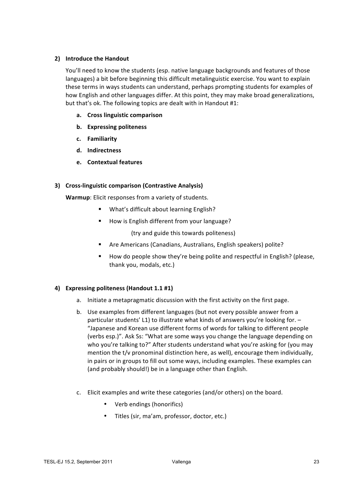#### **2) Introduce the Handout**

You'll need to know the students (esp. native language backgrounds and features of those languages) a bit before beginning this difficult metalinguistic exercise. You want to explain these terms in ways students can understand, perhaps prompting students for examples of how English and other languages differ. At this point, they may make broad generalizations, but that's ok. The following topics are dealt with in Handout #1:

- **a. Cross linguistic comparison**
- **b.** Expressing politeness
- **c. Familiarity**
- **d. Indirectness**
- **e.** Contextual features

#### **3)** Cross-linguistic comparison (Contrastive Analysis)

**Warmup**: Elicit responses from a variety of students.

- **What's difficult about learning English?**
- How is English different from your language?

(try and guide this towards politeness)

- Are Americans (Canadians, Australians, English speakers) polite?
- How do people show they're being polite and respectful in English? (please, thank you, modals, etc.)

#### **4) Expressing politeness (Handout 1.1 #1)**

- a. Initiate a metapragmatic discussion with the first activity on the first page.
- b. Use examples from different languages (but not every possible answer from a particular students' L1) to illustrate what kinds of answers you're looking for.  $-$ "Japanese and Korean use different forms of words for talking to different people (verbs esp.)". Ask Ss: "What are some ways you change the language depending on who you're talking to?" After students understand what you're asking for (you may mention the  $t/v$  pronominal distinction here, as well), encourage them individually, in pairs or in groups to fill out some ways, including examples. These examples can (and probably should!) be in a language other than English.
- c. Elicit examples and write these categories (and/or others) on the board.
	- Verb endings (honorifics)
	- Titles (sir, ma'am, professor, doctor, etc.)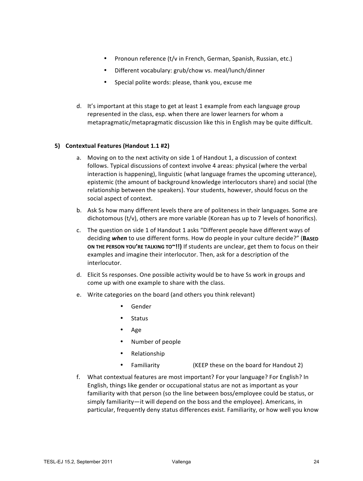- Pronoun reference (t/v in French, German, Spanish, Russian, etc.)
- Different vocabulary: grub/chow vs. meal/lunch/dinner
- Special polite words: please, thank you, excuse me
- d. It's important at this stage to get at least 1 example from each language group represented in the class, esp. when there are lower learners for whom a metapragmatic/metapragmatic discussion like this in English may be quite difficult.

#### **5)** Contextual Features (Handout 1.1 #2)

- a. Moving on to the next activity on side 1 of Handout 1, a discussion of context follows. Typical discussions of context involve 4 areas: physical (where the verbal interaction is happening), linguistic (what language frames the upcoming utterance), epistemic (the amount of background knowledge interlocutors share) and social (the relationship between the speakers). Your students, however, should focus on the social aspect of context.
- b. Ask Ss how many different levels there are of politeness in their languages. Some are dichotomous  $(t/v)$ , others are more variable (Korean has up to 7 levels of honorifics).
- c. The question on side 1 of Handout 1 asks "Different people have different ways of deciding when to use different forms. How do people in your culture decide?" (BASED **ON THE PERSON YOU'RE TALKING TO"!!)** If students are unclear, get them to focus on their examples and imagine their interlocutor. Then, ask for a description of the interlocutor.
- d. Elicit Ss responses. One possible activity would be to have Ss work in groups and come up with one example to share with the class.
- e. Write categories on the board (and others you think relevant)
	- Gender
	- Status
	- Age
	- Number of people
	- Relationship
	- Familiarity (KEEP these on the board for Handout 2)
- f. What contextual features are most important? For your language? For English? In English, things like gender or occupational status are not as important as your familiarity with that person (so the line between boss/employee could be status, or simply familiarity—it will depend on the boss and the employee). Americans, in particular, frequently deny status differences exist. Familiarity, or how well you know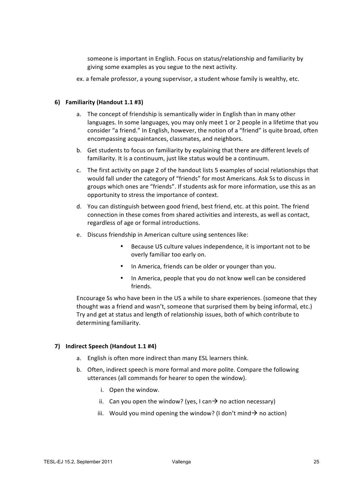someone is important in English. Focus on status/relationship and familiarity by giving some examples as you segue to the next activity.

ex. a female professor, a young supervisor, a student whose family is wealthy, etc.

#### **6) Familiarity (Handout 1.1 #3)**

- a. The concept of friendship is semantically wider in English than in many other languages. In some languages, you may only meet 1 or 2 people in a lifetime that you consider "a friend." In English, however, the notion of a "friend" is quite broad, often encompassing acquaintances, classmates, and neighbors.
- b. Get students to focus on familiarity by explaining that there are different levels of familiarity. It is a continuum, just like status would be a continuum.
- c. The first activity on page 2 of the handout lists 5 examples of social relationships that would fall under the category of "friends" for most Americans. Ask Ss to discuss in groups which ones are "friends". If students ask for more information, use this as an opportunity to stress the importance of context.
- d. You can distinguish between good friend, best friend, etc. at this point. The friend connection in these comes from shared activities and interests, as well as contact, regardless of age or formal introductions.
- e. Discuss friendship in American culture using sentences like:
	- Because US culture values independence, it is important not to be overly familiar too early on.
	- In America, friends can be older or younger than you.
	- In America, people that you do not know well can be considered friends.

Encourage Ss who have been in the US a while to share experiences. (someone that they thought was a friend and wasn't, someone that surprised them by being informal, etc.) Try and get at status and length of relationship issues, both of which contribute to determining familiarity.

#### 7) **Indirect Speech (Handout 1.1 #4)**

- a. English is often more indirect than many ESL learners think.
- b. Often, indirect speech is more formal and more polite. Compare the following utterances (all commands for hearer to open the window).
	- i. Open the window.
	- ii. Can you open the window? (yes, I can  $\rightarrow$  no action necessary)
	- iii. Would you mind opening the window? (I don't mind  $\rightarrow$  no action)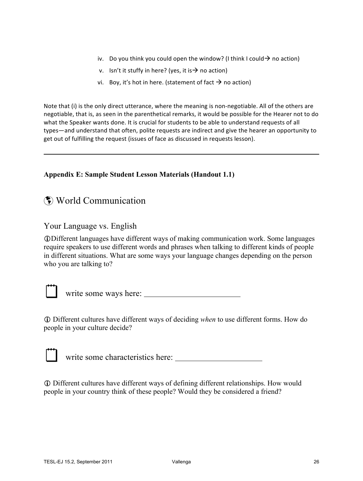- iv. Do you think you could open the window? (I think I could  $\rightarrow$  no action)
- v. Isn't it stuffy in here? (yes, it is  $\rightarrow$  no action)
- vi. Boy, it's hot in here. (statement of fact  $\rightarrow$  no action)

Note that (i) is the only direct utterance, where the meaning is non-negotiable. All of the others are negotiable, that is, as seen in the parenthetical remarks, it would be possible for the Hearer not to do what the Speaker wants done. It is crucial for students to be able to understand requests of all types—and understand that often, polite requests are indirect and give the hearer an opportunity to get out of fulfilling the request (issues of face as discussed in requests lesson).

#### **Appendix E: Sample Student Lesson Materials (Handout 1.1)**

# World Communication

# Your Language vs. English

Different languages have different ways of making communication work. Some languages require speakers to use different words and phrases when talking to different kinds of people in different situations. What are some ways your language changes depending on the person who you are talking to?



write some ways here:

 Different cultures have different ways of deciding *when* to use different forms. How do people in your culture decide?



write some characteristics here:

 Different cultures have different ways of defining different relationships. How would people in your country think of these people? Would they be considered a friend?